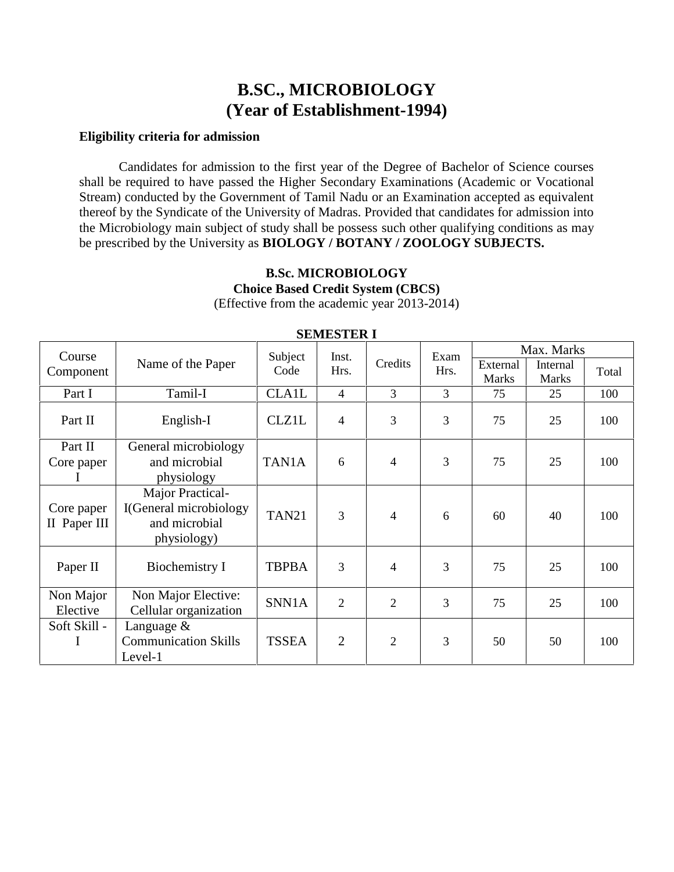## **B.SC., MICROBIOLOGY (Year of Establishment-1994)**

#### **Eligibility criteria for admission**

Candidates for admission to the first year of the Degree of Bachelor of Science courses shall be required to have passed the Higher Secondary Examinations (Academic or Vocational Stream) conducted by the Government of Tamil Nadu or an Examination accepted as equivalent thereof by the Syndicate of the University of Madras. Provided that candidates for admission into the Microbiology main subject of study shall be possess such other qualifying conditions as may be prescribed by the University as **BIOLOGY / BOTANY / ZOOLOGY SUBJECTS.**

# **B.Sc. MICROBIOLOGY Choice Based Credit System (CBCS)**

(Effective from the academic year 2013-2014)

| Course                     |                                                                            | Subject<br>Inst.  |                          |                | Exam           | Max. Marks               |                          |       |  |
|----------------------------|----------------------------------------------------------------------------|-------------------|--------------------------|----------------|----------------|--------------------------|--------------------------|-------|--|
| Component                  | Name of the Paper                                                          | Code              | Hrs.                     | Credits        | Hrs.           | External<br><b>Marks</b> | Internal<br><b>Marks</b> | Total |  |
| Part I                     | Tamil-I                                                                    | <b>CLA1L</b>      | $\overline{4}$           | 3              | 3              | 75                       | 25                       | 100   |  |
| Part II                    | English-I                                                                  | <b>CLZ1L</b>      | $\overline{\mathcal{L}}$ | 3              | 3              | 75                       | 25                       | 100   |  |
| Part II<br>Core paper      | General microbiology<br>and microbial<br>physiology                        | TAN1A             | 6                        | $\overline{4}$ | 3              | 75                       | 25                       | 100   |  |
| Core paper<br>II Paper III | Major Practical-<br>I(General microbiology<br>and microbial<br>physiology) | TAN <sub>21</sub> | 3                        | $\overline{4}$ | 6              | 60                       | 40                       | 100   |  |
| Paper II                   | Biochemistry I                                                             | <b>TBPBA</b>      | 3                        | $\overline{4}$ | $\overline{3}$ | 75                       | 25                       | 100   |  |
| Non Major<br>Elective      | Non Major Elective:<br>Cellular organization                               | SNN1A             | $\overline{2}$           | $\overline{2}$ | 3              | 75                       | 25                       | 100   |  |
| Soft Skill -<br>Ι          | Language &<br><b>Communication Skills</b><br>Level-1                       | <b>TSSEA</b>      | $\overline{2}$           | $\overline{2}$ | 3              | 50                       | 50                       | 100   |  |

#### **SEMESTER I**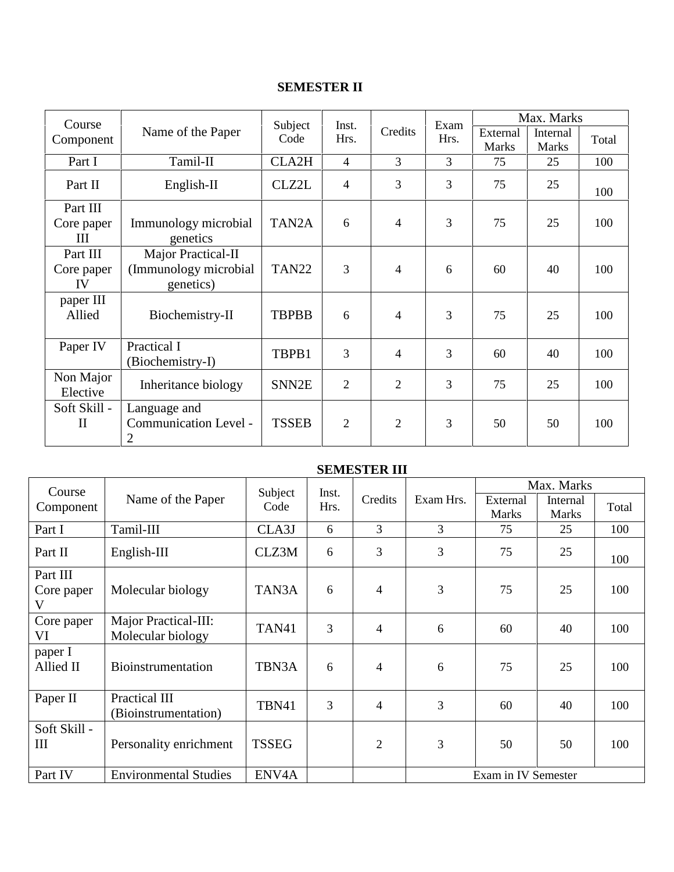## **SEMESTER II**

| Course                       |                                                          | Subject<br>Inst.<br>Credits<br>Code<br>Hrs. |                |                | Exam                     | Max. Marks               |       |     |
|------------------------------|----------------------------------------------------------|---------------------------------------------|----------------|----------------|--------------------------|--------------------------|-------|-----|
| Component                    | Name of the Paper                                        |                                             |                | Hrs.           | External<br><b>Marks</b> | Internal<br><b>Marks</b> | Total |     |
| Part I                       | Tamil-II                                                 | CLA2H                                       | $\overline{4}$ | $\overline{3}$ | 3                        | 75                       | 25    | 100 |
| Part II                      | English-II                                               | CLZ2L                                       | $\overline{4}$ | 3              | 3                        | 75                       | 25    | 100 |
| Part III                     |                                                          |                                             |                |                |                          |                          |       |     |
| Core paper<br>III            | Immunology microbial<br>genetics                         | TAN <sub>2</sub> A                          | 6              | $\overline{4}$ | 3                        | 75                       | 25    | 100 |
| Part III<br>Core paper<br>IV | Major Practical-II<br>(Immunology microbial<br>genetics) | <b>TAN22</b>                                | 3              | $\overline{4}$ | 6                        | 60                       | 40    | 100 |
| paper III<br>Allied          | Biochemistry-II                                          | <b>TBPBB</b>                                | 6              | $\overline{4}$ | 3                        | 75                       | 25    | 100 |
| Paper IV                     | Practical I<br>(Biochemistry-I)                          | TBPB1                                       | 3              | $\overline{4}$ | 3                        | 60                       | 40    | 100 |
| Non Major<br>Elective        | Inheritance biology                                      | SNN2E                                       | $\overline{2}$ | $\overline{2}$ | 3                        | 75                       | 25    | 100 |
| Soft Skill -<br>$\mathbf{I}$ | Language and<br>Communication Level -<br>$\mathfrak{2}$  | <b>TSSEB</b>                                | $\overline{2}$ | $\overline{2}$ | 3                        | 50                       | 50    | 100 |

#### **SEMESTER III**

| Course<br>Component                | Name of the Paper                         | Subject            | Inst. |                |                     | Max. Marks               |                          |       |  |  |
|------------------------------------|-------------------------------------------|--------------------|-------|----------------|---------------------|--------------------------|--------------------------|-------|--|--|
|                                    |                                           | Code               | Hrs.  | Credits        | Exam Hrs.           | External<br><b>Marks</b> | Internal<br><b>Marks</b> | Total |  |  |
| Part I                             | Tamil-III                                 | CLA3J              | 6     | 3              | 3                   | 75                       | 25                       | 100   |  |  |
| Part II                            | $English-III$                             | CLZ3M              | 6     | 3              | 3                   | 75                       | 25                       | 100   |  |  |
| Part III<br>Core paper<br>V        | Molecular biology                         | TAN3A              | 6     | $\overline{4}$ | 3                   | 75                       | 25                       | 100   |  |  |
| Core paper<br>VI                   | Major Practical-III:<br>Molecular biology | TAN41              | 3     | $\overline{4}$ | 6                   | 60                       | 40                       | 100   |  |  |
| paper I<br>Allied II               | <b>Bioinstrumentation</b>                 | TBN3A              | 6     | $\overline{4}$ | 6                   | 75                       | 25                       | 100   |  |  |
| Paper II                           | Practical III<br>(Bioinstrumentation)     | TBN41              | 3     | $\overline{4}$ | 3                   | 60                       | 40                       | 100   |  |  |
| Soft Skill -<br>$\mathop{\rm III}$ | Personality enrichment                    | <b>TSSEG</b>       |       | $\overline{2}$ | 3                   | 50                       | 50                       | 100   |  |  |
| Part IV                            | <b>Environmental Studies</b>              | ENV <sub>4</sub> A |       |                | Exam in IV Semester |                          |                          |       |  |  |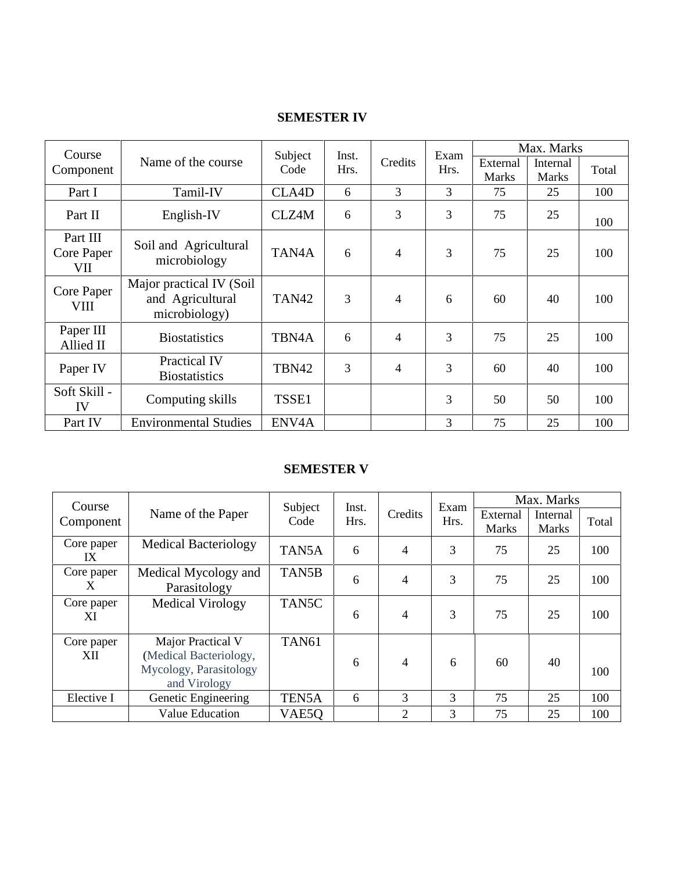### **SEMESTER IV**

| Course                        |                                                               | Subject            | Inst. | Credits        | Exam<br>Hrs. | Max. Marks               |                          |       |  |
|-------------------------------|---------------------------------------------------------------|--------------------|-------|----------------|--------------|--------------------------|--------------------------|-------|--|
| Component                     | Name of the course                                            | Code               | Hrs.  |                |              | External<br><b>Marks</b> | Internal<br><b>Marks</b> | Total |  |
| Part I                        | Tamil-IV                                                      | CLA4D              | 6     | 3              | 3            | 75                       | 25                       | 100   |  |
| Part II                       | English-IV                                                    | CLZ4M              | 6     | 3              | 3            | 75                       | 25                       | 100   |  |
| Part III<br>Core Paper<br>VII | Soil and Agricultural<br>microbiology                         | TAN4A              | 6     | $\overline{4}$ | 3            | 75                       | 25                       | 100   |  |
| Core Paper<br>VIII            | Major practical IV (Soil<br>and Agricultural<br>microbiology) | TAN <sub>42</sub>  | 3     | 4              | 6            | 60                       | 40                       | 100   |  |
| Paper III<br>Allied II        | <b>Biostatistics</b>                                          | TBN <sub>4</sub> A | 6     | $\overline{4}$ | 3            | 75                       | 25                       | 100   |  |
| Paper IV                      | <b>Practical IV</b><br><b>Biostatistics</b>                   | TBN42              | 3     | $\overline{4}$ | 3            | 60                       | 40                       | 100   |  |
| Soft Skill -<br>IV            | Computing skills                                              | TSSE1              |       |                | 3            | 50                       | 50                       | 100   |  |
| Part IV                       | <b>Environmental Studies</b>                                  | ENV <sub>4</sub> A |       |                | 3            | 75                       | 25                       | 100   |  |

### **SEMESTER V**

| Course            |                                                                                       | Subject<br>Inst. |         | Exam           | Max. Marks               |                          |       |     |
|-------------------|---------------------------------------------------------------------------------------|------------------|---------|----------------|--------------------------|--------------------------|-------|-----|
| Component         | Name of the Paper                                                                     | Hrs.<br>Code     | Credits | Hrs.           | External<br><b>Marks</b> | Internal<br><b>Marks</b> | Total |     |
| Core paper<br>IX  | <b>Medical Bacteriology</b>                                                           | TAN5A            | 6       | 4              | 3                        | 75                       | 25    | 100 |
| Core paper<br>X   | Medical Mycology and<br>Parasitology                                                  | TAN5B            | 6       | 4              | 3                        | 75                       | 25    | 100 |
| Core paper<br>ХI  | <b>Medical Virology</b>                                                               | TAN5C            | 6       | 4              | 3                        | 75                       | 25    | 100 |
| Core paper<br>XII | Major Practical V<br>(Medical Bacteriology,<br>Mycology, Parasitology<br>and Virology | <b>TAN61</b>     | 6       | 4              | 6                        | 60                       | 40    | 100 |
| Elective I        | Genetic Engineering                                                                   | TEN5A            | 6       | 3              | 3                        | 75                       | 25    | 100 |
|                   | <b>Value Education</b>                                                                | VAE5O            |         | $\overline{2}$ | 3                        | 75                       | 25    | 100 |